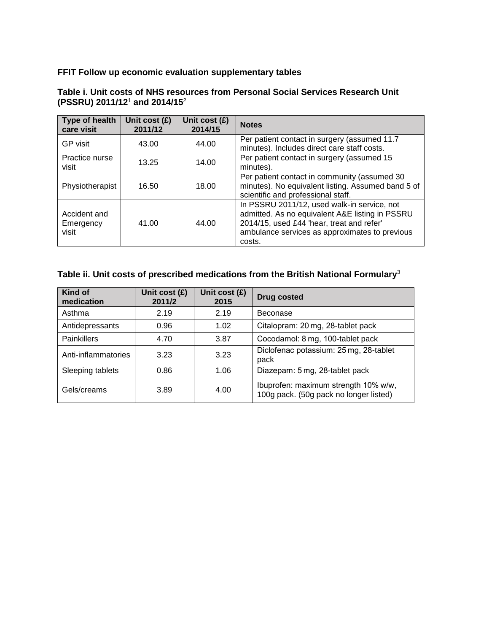# **FFIT Follow up economic evaluation supplementary tables**

| Type of health<br>care visit       | Unit cost $(E)$<br>2011/12 | Unit cost $(E)$<br>2014/15 | <b>Notes</b>                                                                                                                                                                                            |  |  |  |
|------------------------------------|----------------------------|----------------------------|---------------------------------------------------------------------------------------------------------------------------------------------------------------------------------------------------------|--|--|--|
| <b>GP</b> visit                    | 43.00                      | 44.00                      | Per patient contact in surgery (assumed 11.7<br>minutes). Includes direct care staff costs.                                                                                                             |  |  |  |
| Practice nurse<br>visit            | 13.25                      | 14.00                      | Per patient contact in surgery (assumed 15<br>minutes).                                                                                                                                                 |  |  |  |
| 18.00<br>Physiotherapist<br>16.50  |                            |                            | Per patient contact in community (assumed 30<br>minutes). No equivalent listing. Assumed band 5 of<br>scientific and professional staff.                                                                |  |  |  |
| Accident and<br>Emergency<br>visit | 41.00                      | 44.00                      | In PSSRU 2011/12, used walk-in service, not<br>admitted. As no equivalent A&E listing in PSSRU<br>2014/15, used £44 'hear, treat and refer'<br>ambulance services as approximates to previous<br>costs. |  |  |  |

#### **Table i. Unit costs of NHS resources from Personal Social Services Research Unit (PSSRU) 2011/12**<sup>1</sup> **and 2014/15**<sup>2</sup>

# **Table ii. Unit costs of prescribed medications from the British National Formulary**<sup>3</sup>

| Kind of<br>medication | Unit cost $(E)$<br>2011/2 | Unit cost (£)<br>2015 | <b>Drug costed</b>                                                             |
|-----------------------|---------------------------|-----------------------|--------------------------------------------------------------------------------|
| Asthma                | 2.19                      | 2.19                  | Beconase                                                                       |
| Antidepressants       | 0.96                      | 1.02                  | Citalopram: 20 mg, 28-tablet pack                                              |
| <b>Painkillers</b>    | 4.70                      | 3.87                  | Cocodamol: 8 mg, 100-tablet pack                                               |
| Anti-inflammatories   | 3.23                      | 3.23                  | Diclofenac potassium: 25 mg, 28-tablet<br>pack                                 |
| Sleeping tablets      | 0.86                      | 1.06                  | Diazepam: 5 mg, 28-tablet pack                                                 |
| Gels/creams           | 3.89                      | 4.00                  | Ibuprofen: maximum strength 10% w/w,<br>100g pack. (50g pack no longer listed) |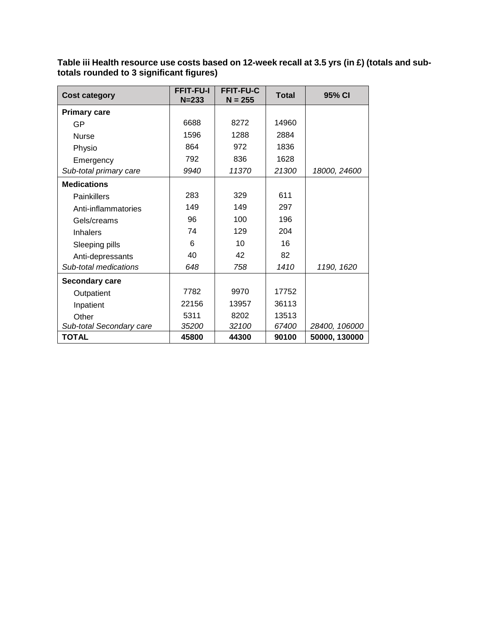**Table iii Health resource use costs based on 12-week recall at 3.5 yrs (in £) (totals and subtotals rounded to 3 significant figures)**

| <b>Cost category</b>     | <b>FFIT-FU-I</b><br>$N = 233$ | <b>FFIT-FU-C</b><br>$N = 255$ | <b>Total</b> | 95% CI        |
|--------------------------|-------------------------------|-------------------------------|--------------|---------------|
| <b>Primary care</b>      |                               |                               |              |               |
| GP                       | 6688                          | 8272                          | 14960        |               |
| <b>Nurse</b>             | 1596                          | 1288                          | 2884         |               |
| Physio                   | 864                           | 972                           | 1836         |               |
| Emergency                | 792                           | 836                           | 1628         |               |
| Sub-total primary care   | 9940                          | 11370                         | 21300        | 18000, 24600  |
| <b>Medications</b>       |                               |                               |              |               |
| <b>Painkillers</b>       | 283                           | 329                           | 611          |               |
| Anti-inflammatories      | 149                           | 149                           | 297          |               |
| Gels/creams              | 96                            | 100                           | 196          |               |
| <b>Inhalers</b>          | 74                            | 129                           | 204          |               |
| Sleeping pills           | 6                             | 10                            | 16           |               |
| Anti-depressants         | 40                            | 42                            | 82           |               |
| Sub-total medications    | 648                           | 758                           | 1410         | 1190, 1620    |
| <b>Secondary care</b>    |                               |                               |              |               |
| Outpatient               | 7782                          | 9970                          | 17752        |               |
| Inpatient                | 22156                         | 13957                         | 36113        |               |
| Other                    | 5311                          | 8202                          | 13513        |               |
| Sub-total Secondary care | 35200                         | 32100                         | 67400        | 28400, 106000 |
| <b>TOTAL</b>             | 45800                         | 44300                         | 90100        | 50000, 130000 |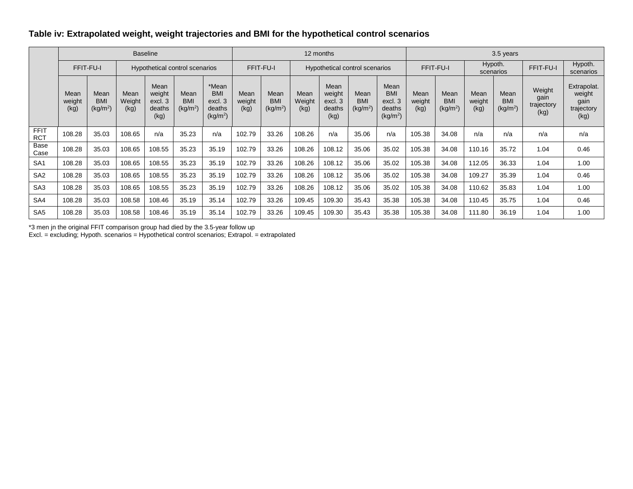# **Table iv: Extrapolated weight, weight trajectories and BMI for the hypothetical control scenarios**

|                     |                        |                                            |                        | <b>Baseline</b>                             |                                            |                                                                  |                        | 12 months                                  |                        |                                             |                                            |                                                                | 3.5 years              |                                            |                        |                                            |                                      |                                                     |
|---------------------|------------------------|--------------------------------------------|------------------------|---------------------------------------------|--------------------------------------------|------------------------------------------------------------------|------------------------|--------------------------------------------|------------------------|---------------------------------------------|--------------------------------------------|----------------------------------------------------------------|------------------------|--------------------------------------------|------------------------|--------------------------------------------|--------------------------------------|-----------------------------------------------------|
|                     |                        | FFIT-FU-I                                  |                        |                                             | <b>Hypothetical control scenarios</b>      |                                                                  |                        | FFIT-FU-I                                  |                        | Hypothetical control scenarios              |                                            | FFIT-FU-I                                                      |                        | Hypoth.<br>scenarios                       |                        | FFIT-FU-I                                  | Hypoth.<br>scenarios                 |                                                     |
|                     | Mean<br>weight<br>(kg) | Mean<br><b>BMI</b><br>(kg/m <sup>2</sup> ) | Mean<br>Weight<br>(kg) | Mean<br>weight<br>excl. 3<br>deaths<br>(kg) | Mean<br><b>BMI</b><br>(kg/m <sup>2</sup> ) | *Mean<br><b>BMI</b><br>excl. 3<br>deaths<br>(kg/m <sup>2</sup> ) | Mean<br>weight<br>(kg) | Mean<br><b>BMI</b><br>(kg/m <sup>2</sup> ) | Mean<br>Weight<br>(kg) | Mean<br>weight<br>excl. 3<br>deaths<br>(kq) | Mean<br><b>BMI</b><br>(kg/m <sup>2</sup> ) | Mean<br><b>BM</b><br>excl. 3<br>deaths<br>(kg/m <sup>2</sup> ) | Mean<br>weight<br>(kq) | Mean<br><b>BMI</b><br>(kg/m <sup>2</sup> ) | Mean<br>weight<br>(kg) | Mean<br><b>BMI</b><br>(kg/m <sup>2</sup> ) | Weight<br>gain<br>trajectory<br>(kg) | Extrapolat.<br>weight<br>gain<br>trajectory<br>(kg) |
| FFIT<br><b>RCT</b>  | 108.28                 | 35.03                                      | 108.65                 | n/a                                         | 35.23                                      | n/a                                                              | 102.79                 | 33.26                                      | 108.26                 | n/a                                         | 35.06                                      | n/a                                                            | 105.38                 | 34.08                                      | n/a                    | n/a                                        | n/a                                  | n/a                                                 |
| <b>Base</b><br>Case | 108.28                 | 35.03                                      | 108.65                 | 108.55                                      | 35.23                                      | 35.19                                                            | 102.79                 | 33.26                                      | 108.26                 | 108.12                                      | 35.06                                      | 35.02                                                          | 105.38                 | 34.08                                      | 110.16                 | 35.72                                      | 1.04                                 | 0.46                                                |
| SA <sub>1</sub>     | 108.28                 | 35.03                                      | 108.65                 | 108.55                                      | 35.23                                      | 35.19                                                            | 102.79                 | 33.26                                      | 108.26                 | 108.12                                      | 35.06                                      | 35.02                                                          | 105.38                 | 34.08                                      | 112.05                 | 36.33                                      | 1.04                                 | 1.00                                                |
| SA <sub>2</sub>     | 108.28                 | 35.03                                      | 108.65                 | 108.55                                      | 35.23                                      | 35.19                                                            | 102.79                 | 33.26                                      | 108.26                 | 108.12                                      | 35.06                                      | 35.02                                                          | 105.38                 | 34.08                                      | 109.27                 | 35.39                                      | 1.04                                 | 0.46                                                |
| SA <sub>3</sub>     | 108.28                 | 35.03                                      | 108.65                 | 108.55                                      | 35.23                                      | 35.19                                                            | 102.79                 | 33.26                                      | 108.26                 | 108.12                                      | 35.06                                      | 35.02                                                          | 105.38                 | 34.08                                      | 110.62                 | 35.83                                      | 1.04                                 | 1.00                                                |
| SA4                 | 108.28                 | 35.03                                      | 108.58                 | 108.46                                      | 35.19                                      | 35.14                                                            | 102.79                 | 33.26                                      | 109.45                 | 109.30                                      | 35.43                                      | 35.38                                                          | 105.38                 | 34.08                                      | 110.45                 | 35.75                                      | 1.04                                 | 0.46                                                |
| SA <sub>5</sub>     | 108.28                 | 35.03                                      | 108.58                 | 108.46                                      | 35.19                                      | 35.14                                                            | 102.79                 | 33.26                                      | 109.45                 | 109.30                                      | 35.43                                      | 35.38                                                          | 105.38                 | 34.08                                      | 111.80                 | 36.19                                      | 1.04                                 | 1.00                                                |

\*3 men jn the original FFIT comparison group had died by the 3.5-year follow up

Excl. = excluding; Hypoth. scenarios = Hypothetical control scenarios; Extrapol. = extrapolated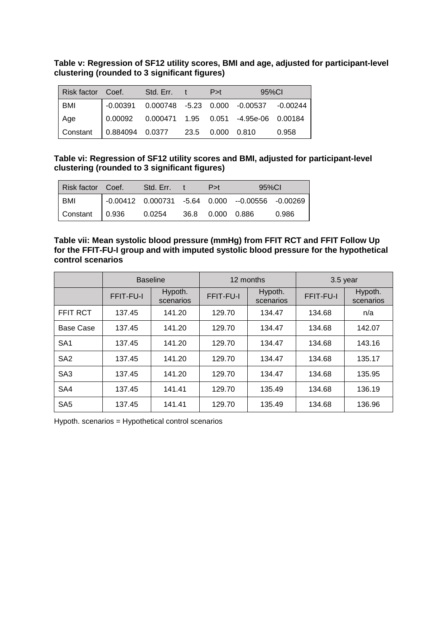**Table v: Regression of SF12 utility scores, BMI and age, adjusted for participant-level clustering (rounded to 3 significant figures)**

| Risk factor Coef. |                                                                          | Std. Err. | P > t | 95%Cl                                                                                   |       |
|-------------------|--------------------------------------------------------------------------|-----------|-------|-----------------------------------------------------------------------------------------|-------|
| <b>BMI</b>        |                                                                          |           |       | $\vert$ -0.00391 0.000748 -5.23 0.000 -0.00537 -0.00244                                 |       |
| Age               |                                                                          |           |       | $\begin{bmatrix} 0.00092 & 0.000471 & 1.95 & 0.051 & -4.95e-06 & 0.00184 \end{bmatrix}$ |       |
| Constant          | $\begin{bmatrix} 0.884094 & 0.0377 & 23.5 & 0.000 & 0.810 \end{bmatrix}$ |           |       |                                                                                         | 0.958 |

**Table vi: Regression of SF12 utility scores and BMI, adjusted for participant-level clustering (rounded to 3 significant figures)**

| Risk factor Coef.     | Std. Err. | P>t                | 95%Cl                                                    |       |
|-----------------------|-----------|--------------------|----------------------------------------------------------|-------|
| <b>BMI</b>            |           |                    | $\vert$ -0.00412 0.000731 -5.64 0.000 --0.00556 -0.00269 |       |
| Constant 0.936 0.0254 |           | 36.8  0.000  0.886 |                                                          | 0.986 |

#### **Table vii: Mean systolic blood pressure (mmHg) from FFIT RCT and FFIT Follow Up for the FFIT-FU-I group and with imputed systolic blood pressure for the hypothetical control scenarios**

|                 |           | <b>Baseline</b>      |           | 12 months            | 3.5 year  |                      |
|-----------------|-----------|----------------------|-----------|----------------------|-----------|----------------------|
|                 | FFIT-FU-I | Hypoth.<br>scenarios | FFIT-FU-I | Hypoth.<br>scenarios | FFIT-FU-I | Hypoth.<br>scenarios |
| <b>FFIT RCT</b> | 137.45    | 141.20               | 129.70    | 134.47               | 134.68    | n/a                  |
| Base Case       | 137.45    | 141.20               | 129.70    | 134.47               | 134.68    | 142.07               |
| SA <sub>1</sub> | 137.45    | 141.20               | 129.70    | 134.47               | 134.68    | 143.16               |
| SA <sub>2</sub> | 137.45    | 141.20               | 129.70    | 134.47               | 134.68    | 135.17               |
| SA <sub>3</sub> | 137.45    | 141.20               | 129.70    | 134.47               | 134.68    | 135.95               |
| SA4             | 137.45    | 141.41               | 129.70    | 135.49               | 134.68    | 136.19               |
| SA <sub>5</sub> | 137.45    | 141.41               | 129.70    | 135.49               | 134.68    | 136.96               |

Hypoth. scenarios = Hypothetical control scenarios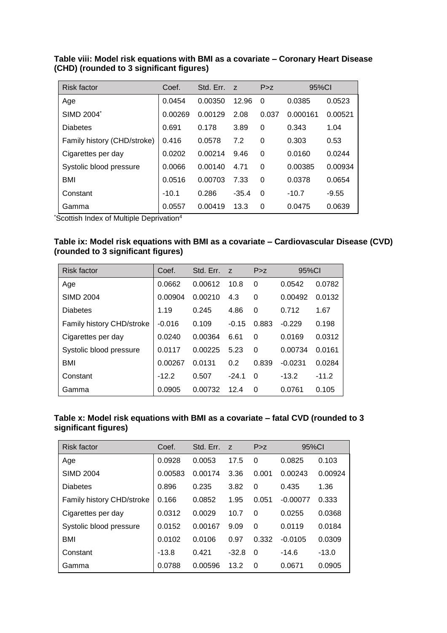| <b>Risk factor</b>          | Coef.   | Std. Err. | Z       | P > Z    | 95%CI    |         |
|-----------------------------|---------|-----------|---------|----------|----------|---------|
| Age                         | 0.0454  | 0.00350   | 12.96   | 0        | 0.0385   | 0.0523  |
| SIMD 2004*                  | 0.00269 | 0.00129   | 2.08    | 0.037    | 0.000161 | 0.00521 |
| <b>Diabetes</b>             | 0.691   | 0.178     | 3.89    | 0        | 0.343    | 1.04    |
| Family history (CHD/stroke) | 0.416   | 0.0578    | 7.2     | 0        | 0.303    | 0.53    |
| Cigarettes per day          | 0.0202  | 0.00214   | 9.46    | $\Omega$ | 0.0160   | 0.0244  |
| Systolic blood pressure     | 0.0066  | 0.00140   | 4.71    | 0        | 0.00385  | 0.00934 |
| <b>BMI</b>                  | 0.0516  | 0.00703   | 7.33    | $\Omega$ | 0.0378   | 0.0654  |
| Constant                    | $-10.1$ | 0.286     | $-35.4$ | $\Omega$ | $-10.7$  | $-9.55$ |
| Gamma                       | 0.0557  | 0.00419   | 13.3    | 0        | 0.0475   | 0.0639  |

### **Table viii: Model risk equations with BMI as a covariate – Coronary Heart Disease (CHD) (rounded to 3 significant figures)**

\*Scottish Index of Multiple Deprivation<sup>4</sup>

| Table ix: Model risk equations with BMI as a covariate – Cardiovascular Disease (CVD) |  |
|---------------------------------------------------------------------------------------|--|
| (rounded to 3 significant figures)                                                    |  |

| Risk factor               | Coef.    | Std. Err. | z       | P > z    | 95%Cl     |         |
|---------------------------|----------|-----------|---------|----------|-----------|---------|
| Age                       | 0.0662   | 0.00612   | 10.8    | $\Omega$ | 0.0542    | 0.0782  |
| <b>SIMD 2004</b>          | 0.00904  | 0.00210   | 4.3     | 0        | 0.00492   | 0.0132  |
| <b>Diabetes</b>           | 1.19     | 0.245     | 4.86    | 0        | 0.712     | 1.67    |
| Family history CHD/stroke | $-0.016$ | 0.109     | $-0.15$ | 0.883    | $-0.229$  | 0.198   |
| Cigarettes per day        | 0.0240   | 0.00364   | 6.61    | $\Omega$ | 0.0169    | 0.0312  |
| Systolic blood pressure   | 0.0117   | 0.00225   | 5.23    | $\Omega$ | 0.00734   | 0.0161  |
| BMI                       | 0.00267  | 0.0131    | 0.2     | 0.839    | $-0.0231$ | 0.0284  |
| Constant                  | $-12.2$  | 0.507     | $-24.1$ | $\Omega$ | $-13.2$   | $-11.2$ |
| Gamma                     | 0.0905   | 0.00732   | 12.4    | $\Omega$ | 0.0761    | 0.105   |

### **Table x: Model risk equations with BMI as a covariate – fatal CVD (rounded to 3 significant figures)**

| <b>Risk factor</b>               | Coef.   | Std. Err. | $\overline{z}$ | P > z    | 95%Cl      |         |
|----------------------------------|---------|-----------|----------------|----------|------------|---------|
| Age                              | 0.0928  | 0.0053    | 17.5           | 0        | 0.0825     | 0.103   |
| <b>SIMD 2004</b>                 | 0.00583 | 0.00174   | 3.36           | 0.001    | 0.00243    | 0.00924 |
| <b>Diabetes</b>                  | 0.896   | 0.235     | 3.82           | 0        | 0.435      | 1.36    |
| <b>Family history CHD/stroke</b> | 0.166   | 0.0852    | 1.95           | 0.051    | $-0.00077$ | 0.333   |
| Cigarettes per day               | 0.0312  | 0.0029    | 10.7           | 0        | 0.0255     | 0.0368  |
| Systolic blood pressure          | 0.0152  | 0.00167   | 9.09           | $\Omega$ | 0.0119     | 0.0184  |
| <b>BMI</b>                       | 0.0102  | 0.0106    | 0.97           | 0.332    | $-0.0105$  | 0.0309  |
| Constant                         | $-13.8$ | 0.421     | $-32.8$        | $\Omega$ | $-14.6$    | $-13.0$ |
| Gamma                            | 0.0788  | 0.00596   | 13.2           | $\Omega$ | 0.0671     | 0.0905  |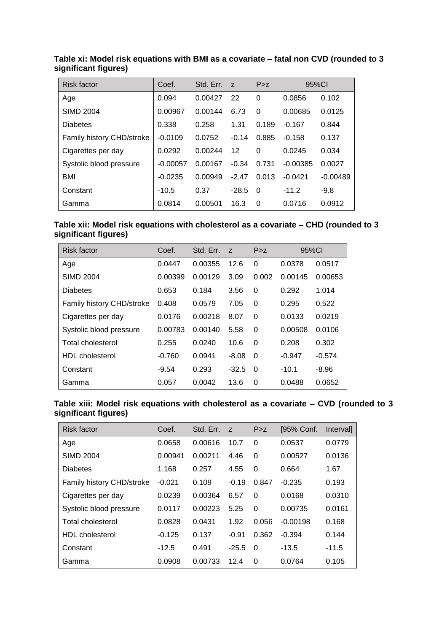| <b>Risk factor</b>        | Coef.      | Std. Err. | Z       | P > z    |            | 95%Cl      |
|---------------------------|------------|-----------|---------|----------|------------|------------|
| Age                       | 0.094      | 0.00427   | 22      | 0        | 0.0856     | 0.102      |
| <b>SIMD 2004</b>          | 0.00967    | 0.00144   | 6.73    | 0        | 0.00685    | 0.0125     |
| <b>Diabetes</b>           | 0.338      | 0.258     | 1.31    | 0.189    | $-0.167$   | 0.844      |
| Family history CHD/stroke | $-0.0109$  | 0.0752    | $-0.14$ | 0.885    | $-0.158$   | 0.137      |
| Cigarettes per day        | 0.0292     | 0.00244   | 12      | $\Omega$ | 0.0245     | 0.034      |
| Systolic blood pressure   | $-0.00057$ | 0.00167   | $-0.34$ | 0.731    | $-0.00385$ | 0.0027     |
| <b>BMI</b>                | $-0.0235$  | 0.00949   | $-2.47$ | 0.013    | $-0.0421$  | $-0.00489$ |
| Constant                  | $-10.5$    | 0.37      | $-28.5$ | 0        | $-11.2$    | $-9.8$     |
| Gamma                     | 0.0814     | 0.00501   | 16.3    | 0        | 0.0716     | 0.0912     |

**Table xi: Model risk equations with BMI as a covariate – fatal non CVD (rounded to 3 significant figures)**

| Table xii: Model risk equations with cholesterol as a covariate – CHD (rounded to 3 |  |
|-------------------------------------------------------------------------------------|--|
| significant figures)                                                                |  |

| Risk factor               | Coef.    | Std. Err. | Z       | P > z    | 95%Cl    |          |
|---------------------------|----------|-----------|---------|----------|----------|----------|
| Age                       | 0.0447   | 0.00355   | 12.6    | 0        | 0.0378   | 0.0517   |
| <b>SIMD 2004</b>          | 0.00399  | 0.00129   | 3.09    | 0.002    | 0.00145  | 0.00653  |
| Diabetes                  | 0.653    | 0.184     | 3.56    | 0        | 0.292    | 1.014    |
| Family history CHD/stroke | 0.408    | 0.0579    | 7.05    | 0        | 0.295    | 0.522    |
| Cigarettes per day        | 0.0176   | 0.00218   | 8.07    | 0        | 0.0133   | 0.0219   |
| Systolic blood pressure   | 0.00783  | 0.00140   | 5.58    | $\Omega$ | 0.00508  | 0.0106   |
| Total cholesterol         | 0.255    | 0.0240    | 10.6    | 0        | 0.208    | 0.302    |
| <b>HDL</b> cholesterol    | $-0.760$ | 0.0941    | $-8.08$ | $\Omega$ | $-0.947$ | $-0.574$ |
| Constant                  | $-9.54$  | 0.293     | $-32.5$ | $\Omega$ | $-10.1$  | $-8.96$  |
| Gamma                     | 0.057    | 0.0042    | 13.6    | 0        | 0.0488   | 0.0652   |

**Table xiii: Model risk equations with cholesterol as a covariate – CVD (rounded to 3 significant figures)**

| Risk factor               | Coef.    | Std. Err. | $\overline{z}$ | P > Z    | [95% Conf. | <i>Intervall</i> |
|---------------------------|----------|-----------|----------------|----------|------------|------------------|
| Age                       | 0.0658   | 0.00616   | 10.7           | $\Omega$ | 0.0537     | 0.0779           |
| SIMD 2004                 | 0.00941  | 0.00211   | 4.46           | $\Omega$ | 0.00527    | 0.0136           |
| <b>Diabetes</b>           | 1.168    | 0.257     | 4.55           | $\Omega$ | 0.664      | 1.67             |
| Family history CHD/stroke | $-0.021$ | 0.109     | $-0.19$        | 0.847    | $-0.235$   | 0.193            |
| Cigarettes per day        | 0.0239   | 0.00364   | 6.57           | $\Omega$ | 0.0168     | 0.0310           |
| Systolic blood pressure   | 0.0117   | 0.00223   | 5.25           | $\Omega$ | 0.00735    | 0.0161           |
| <b>Total cholesterol</b>  | 0.0828   | 0.0431    | 1.92           | 0.056    | $-0.00198$ | 0.168            |
| HDL cholesterol           | $-0.125$ | 0.137     | $-0.91$        | 0.362    | $-0.394$   | 0.144            |
| Constant                  | $-12.5$  | 0.491     | $-25.5$        | $\Omega$ | -13.5      | $-11.5$          |
| Gamma                     | 0.0908   | 0.00733   | 12.4           | $\Omega$ | 0.0764     | 0.105            |